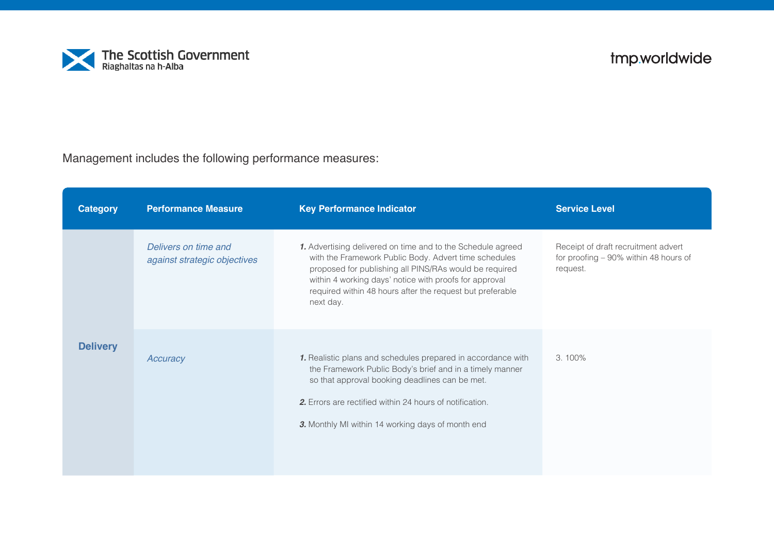

Management includes the following performance measures:

| <b>Category</b> | <b>Performance Measure</b>                           | <b>Key Performance Indicator</b>                                                                                                                                                                                                                                                                                   | <b>Service Level</b>                                                                     |
|-----------------|------------------------------------------------------|--------------------------------------------------------------------------------------------------------------------------------------------------------------------------------------------------------------------------------------------------------------------------------------------------------------------|------------------------------------------------------------------------------------------|
|                 | Delivers on time and<br>against strategic objectives | 1. Advertising delivered on time and to the Schedule agreed<br>with the Framework Public Body. Advert time schedules<br>proposed for publishing all PINS/RAs would be required<br>within 4 working days' notice with proofs for approval<br>required within 48 hours after the request but preferable<br>next day. | Receipt of draft recruitment advert<br>for proofing - 90% within 48 hours of<br>request. |
| <b>Delivery</b> | Accuracy                                             | 1. Realistic plans and schedules prepared in accordance with<br>the Framework Public Body's brief and in a timely manner<br>so that approval booking deadlines can be met.<br>2. Errors are rectified within 24 hours of notification.<br>3. Monthly MI within 14 working days of month end                        | $3.100\%$                                                                                |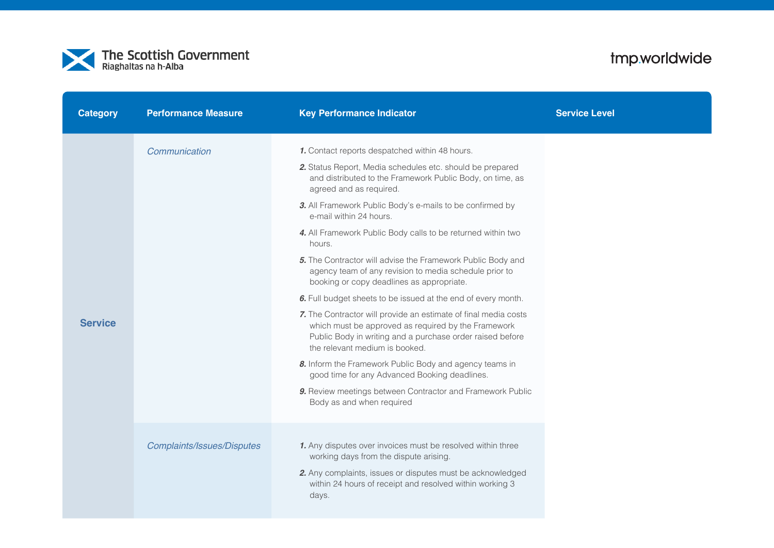

| <b>Category</b> | <b>Performance Measure</b>        | <b>Key Performance Indicator</b>                                                                                                                                                                                                                                                                                                                                                                                                                                                                                                                                                                                                                                                                                                                                                                                                                                                                                                                                                                                                             | <b>Service Level</b> |
|-----------------|-----------------------------------|----------------------------------------------------------------------------------------------------------------------------------------------------------------------------------------------------------------------------------------------------------------------------------------------------------------------------------------------------------------------------------------------------------------------------------------------------------------------------------------------------------------------------------------------------------------------------------------------------------------------------------------------------------------------------------------------------------------------------------------------------------------------------------------------------------------------------------------------------------------------------------------------------------------------------------------------------------------------------------------------------------------------------------------------|----------------------|
| <b>Service</b>  | Communication                     | 1. Contact reports despatched within 48 hours.<br>2. Status Report, Media schedules etc. should be prepared<br>and distributed to the Framework Public Body, on time, as<br>agreed and as required.<br>3. All Framework Public Body's e-mails to be confirmed by<br>e-mail within 24 hours.<br>4. All Framework Public Body calls to be returned within two<br>hours.<br>5. The Contractor will advise the Framework Public Body and<br>agency team of any revision to media schedule prior to<br>booking or copy deadlines as appropriate.<br>6. Full budget sheets to be issued at the end of every month.<br>7. The Contractor will provide an estimate of final media costs<br>which must be approved as required by the Framework<br>Public Body in writing and a purchase order raised before<br>the relevant medium is booked.<br>8. Inform the Framework Public Body and agency teams in<br>good time for any Advanced Booking deadlines.<br>9. Review meetings between Contractor and Framework Public<br>Body as and when required |                      |
|                 | <b>Complaints/Issues/Disputes</b> | 1. Any disputes over invoices must be resolved within three<br>working days from the dispute arising.<br>2. Any complaints, issues or disputes must be acknowledged<br>within 24 hours of receipt and resolved within working 3<br>days.                                                                                                                                                                                                                                                                                                                                                                                                                                                                                                                                                                                                                                                                                                                                                                                                     |                      |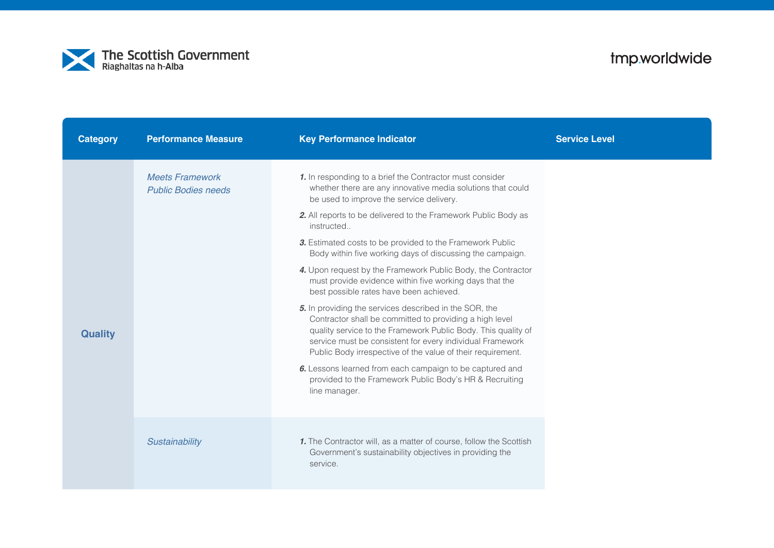

| <b>Category</b> | <b>Performance Measure</b>                           | <b>Key Performance Indicator</b>                                                                                                                                                                                                                                                                               | <b>Service Level</b> |
|-----------------|------------------------------------------------------|----------------------------------------------------------------------------------------------------------------------------------------------------------------------------------------------------------------------------------------------------------------------------------------------------------------|----------------------|
| <b>Quality</b>  | <b>Meets Framework</b><br><b>Public Bodies needs</b> | 1. In responding to a brief the Contractor must consider<br>whether there are any innovative media solutions that could<br>be used to improve the service delivery.                                                                                                                                            |                      |
|                 |                                                      | 2. All reports to be delivered to the Framework Public Body as<br>instructed                                                                                                                                                                                                                                   |                      |
|                 |                                                      | 3. Estimated costs to be provided to the Framework Public<br>Body within five working days of discussing the campaign.                                                                                                                                                                                         |                      |
|                 |                                                      | 4. Upon request by the Framework Public Body, the Contractor<br>must provide evidence within five working days that the<br>best possible rates have been achieved.                                                                                                                                             |                      |
|                 |                                                      | 5. In providing the services described in the SOR, the<br>Contractor shall be committed to providing a high level<br>quality service to the Framework Public Body. This quality of<br>service must be consistent for every individual Framework<br>Public Body irrespective of the value of their requirement. |                      |
|                 |                                                      | 6. Lessons learned from each campaign to be captured and<br>provided to the Framework Public Body's HR & Recruiting<br>line manager.                                                                                                                                                                           |                      |
|                 | Sustainability                                       | 1. The Contractor will, as a matter of course, follow the Scottish<br>Government's sustainability objectives in providing the<br>service.                                                                                                                                                                      |                      |